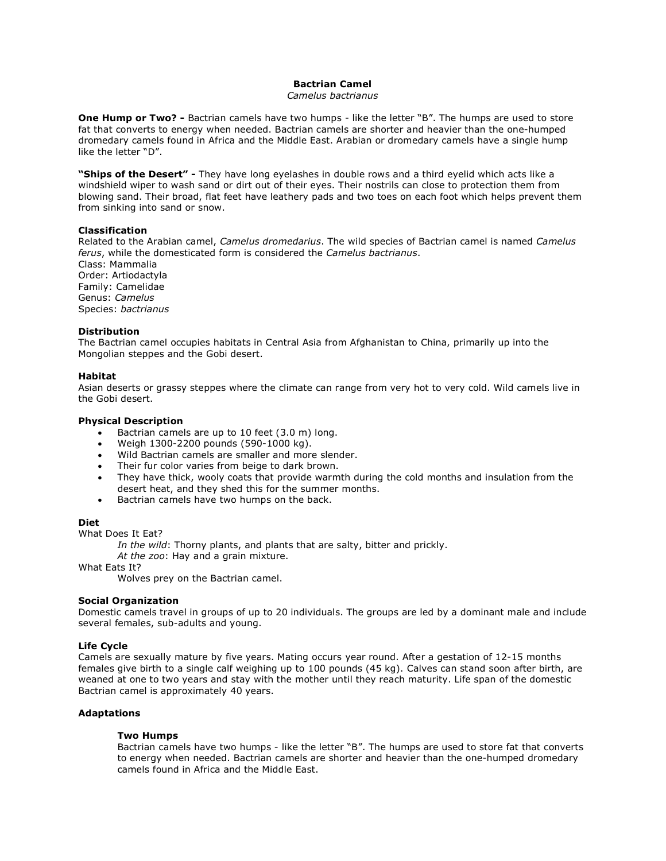# **Bactrian Camel**

# *Camelus bactrianus*

**One Hump or Two? -** Bactrian camels have two humps - like the letter "B". The humps are used to store fat that converts to energy when needed. Bactrian camels are shorter and heavier than the one-humped dromedary camels found in Africa and the Middle East. Arabian or dromedary camels have a single hump like the letter "D".

**"Ships of the Desert" -** They have long eyelashes in double rows and a third eyelid which acts like a windshield wiper to wash sand or dirt out of their eyes. Their nostrils can close to protection them from blowing sand. Their broad, flat feet have leathery pads and two toes on each foot which helps prevent them from sinking into sand or snow.

#### **Classification**

Related to the Arabian camel, *Camelus dromedarius*. The wild species of Bactrian camel is named *Camelus ferus*, while the domesticated form is considered the *Camelus bactrianus*. Class: Mammalia Order: Artiodactyla Family: Camelidae Genus: *Camelus* Species: *bactrianus*

#### **Distribution**

The Bactrian camel occupies habitats in Central Asia from Afghanistan to China, primarily up into the Mongolian steppes and the Gobi desert.

# **Habitat**

Asian deserts or grassy steppes where the climate can range from very hot to very cold. Wild camels live in the Gobi desert.

# **Physical Description**

- Bactrian camels are up to 10 feet (3.0 m) long.
- Weigh 1300-2200 pounds (590-1000 kg).
- Wild Bactrian camels are smaller and more slender.
- Their fur color varies from beige to dark brown.
- They have thick, wooly coats that provide warmth during the cold months and insulation from the desert heat, and they shed this for the summer months.
- Bactrian camels have two humps on the back.

#### **Diet**

#### What Does It Eat?

*In the wild*: Thorny plants, and plants that are salty, bitter and prickly.

*At the zoo*: Hay and a grain mixture.

What Eats It?

Wolves prey on the Bactrian camel.

# **Social Organization**

Domestic camels travel in groups of up to 20 individuals. The groups are led by a dominant male and include several females, sub-adults and young.

### **Life Cycle**

Camels are sexually mature by five years. Mating occurs year round. After a gestation of 12-15 months females give birth to a single calf weighing up to 100 pounds (45 kg). Calves can stand soon after birth, are weaned at one to two years and stay with the mother until they reach maturity. Life span of the domestic Bactrian camel is approximately 40 years.

#### **Adaptations**

# **Two Humps**

Bactrian camels have two humps - like the letter "B". The humps are used to store fat that converts to energy when needed. Bactrian camels are shorter and heavier than the one-humped dromedary camels found in Africa and the Middle East.